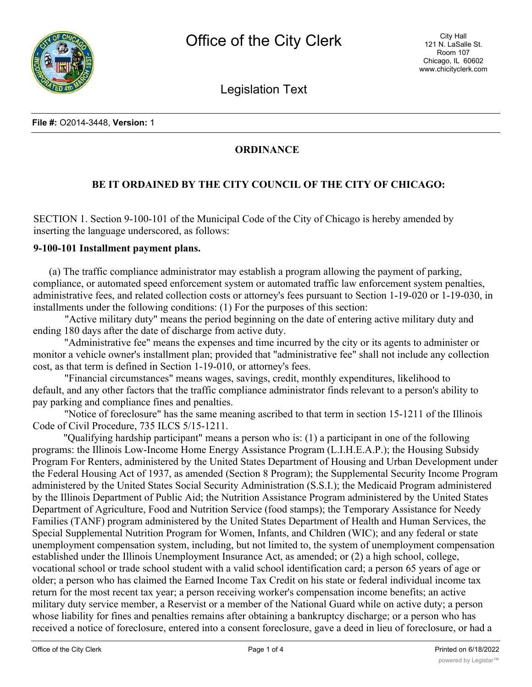

Legislation Text

## **ORDINANCE**

## **BE IT ORDAINED BY THE CITY COUNCIL OF THE CITY OF CHICAGO:**

SECTION 1. Section 9-100-101 of the Municipal Code of the City of Chicago is hereby amended by inserting the language underscored, as follows:

## **9-100-101 Installment payment plans.**

(a) The traffic compliance administrator may establish a program allowing the payment of parking, compliance, or automated speed enforcement system or automated traffic law enforcement system penalties, administrative fees, and related collection costs or attorney's fees pursuant to Section 1-19-020 or 1-19-030, in installments under the following conditions: (1) For the purposes of this section:

"Active military duty" means the period beginning on the date of entering active military duty and ending 180 days after the date of discharge from active duty.

"Administrative fee" means the expenses and time incurred by the city or its agents to administer or monitor a vehicle owner's installment plan; provided that "administrative fee" shall not include any collection cost, as that term is defined in Section 1-19-010, or attorney's fees.

"Financial circumstances" means wages, savings, credit, monthly expenditures, likelihood to default, and any other factors that the traffic compliance administrator finds relevant to a person's ability to pay parking and compliance fines and penalties.

"Notice of foreclosure" has the same meaning ascribed to that term in section 15-1211 of the Illinois Code of Civil Procedure, 735 ILCS 5/15-1211.

"Qualifying hardship participant" means a person who is: (1) a participant in one of the following programs: the Illinois Low-Income Home Energy Assistance Program (L.I.H.E.A.P.); the Housing Subsidy Program For Renters, administered by the United States Department of Housing and Urban Development under the Federal Housing Act of 1937, as amended (Section 8 Program); the Supplemental Security Income Program administered by the United States Social Security Administration (S.S.I.); the Medicaid Program administered by the Illinois Department of Public Aid; the Nutrition Assistance Program administered by the United States Department of Agriculture, Food and Nutrition Service (food stamps); the Temporary Assistance for Needy Families (TANF) program administered by the United States Department of Health and Human Services, the Special Supplemental Nutrition Program for Women, Infants, and Children (WIC); and any federal or state unemployment compensation system, including, but not limited to, the system of unemployment compensation established under the Illinois Unemployment Insurance Act, as amended; or (2) a high school, college, vocational school or trade school student with a valid school identification card; a person 65 years of age or older; a person who has claimed the Earned Income Tax Credit on his state or federal individual income tax return for the most recent tax year; a person receiving worker's compensation income benefits; an active military duty service member, a Reservist or a member of the National Guard while on active duty; a person whose liability for fines and penalties remains after obtaining a bankruptcy discharge; or a person who has received a notice of foreclosure, entered into a consent foreclosure, gave a deed in lieu of foreclosure, or had a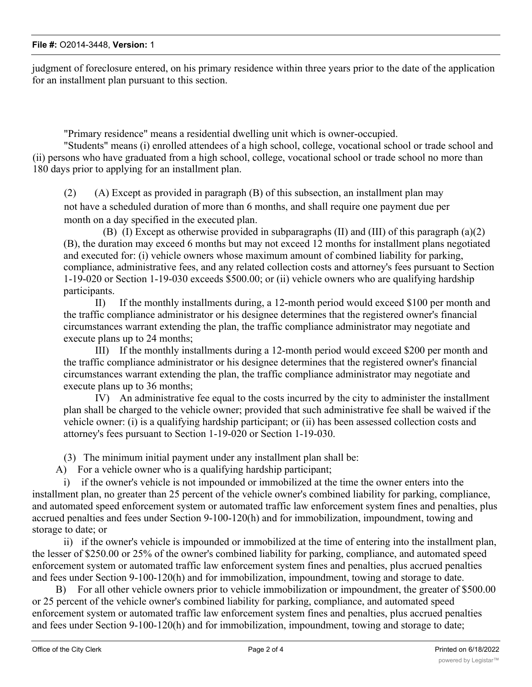judgment of foreclosure entered, on his primary residence within three years prior to the date of the application for an installment plan pursuant to this section.

"Primary residence" means a residential dwelling unit which is owner-occupied.

"Students" means (i) enrolled attendees of a high school, college, vocational school or trade school and (ii) persons who have graduated from a high school, college, vocational school or trade school no more than 180 days prior to applying for an installment plan.

(2) (A) Except as provided in paragraph (B) of this subsection, an installment plan may not have a scheduled duration of more than 6 months, and shall require one payment due per month on a day specified in the executed plan.

(B) (I) Except as otherwise provided in subparagraphs (II) and (III) of this paragraph (a)(2) (B), the duration may exceed 6 months but may not exceed 12 months for installment plans negotiated and executed for: (i) vehicle owners whose maximum amount of combined liability for parking, compliance, administrative fees, and any related collection costs and attorney's fees pursuant to Section 1-19-020 or Section 1-19-030 exceeds \$500.00; or (ii) vehicle owners who are qualifying hardship participants.

II) If the monthly installments during, a 12-month period would exceed \$100 per month and the traffic compliance administrator or his designee determines that the registered owner's financial circumstances warrant extending the plan, the traffic compliance administrator may negotiate and execute plans up to 24 months;

III) If the monthly installments during a 12-month period would exceed \$200 per month and the traffic compliance administrator or his designee determines that the registered owner's financial circumstances warrant extending the plan, the traffic compliance administrator may negotiate and execute plans up to 36 months;

IV) An administrative fee equal to the costs incurred by the city to administer the installment plan shall be charged to the vehicle owner; provided that such administrative fee shall be waived if the vehicle owner: (i) is a qualifying hardship participant; or (ii) has been assessed collection costs and attorney's fees pursuant to Section 1-19-020 or Section 1-19-030.

(3) The minimum initial payment under any installment plan shall be:

A) For a vehicle owner who is a qualifying hardship participant;

i) if the owner's vehicle is not impounded or immobilized at the time the owner enters into the installment plan, no greater than 25 percent of the vehicle owner's combined liability for parking, compliance, and automated speed enforcement system or automated traffic law enforcement system fines and penalties, plus accrued penalties and fees under Section 9-100-120(h) and for immobilization, impoundment, towing and storage to date; or

ii) if the owner's vehicle is impounded or immobilized at the time of entering into the installment plan, the lesser of \$250.00 or 25% of the owner's combined liability for parking, compliance, and automated speed enforcement system or automated traffic law enforcement system fines and penalties, plus accrued penalties and fees under Section 9-100-120(h) and for immobilization, impoundment, towing and storage to date.

B) For all other vehicle owners prior to vehicle immobilization or impoundment, the greater of \$500.00 or 25 percent of the vehicle owner's combined liability for parking, compliance, and automated speed enforcement system or automated traffic law enforcement system fines and penalties, plus accrued penalties and fees under Section 9-100-120(h) and for immobilization, impoundment, towing and storage to date;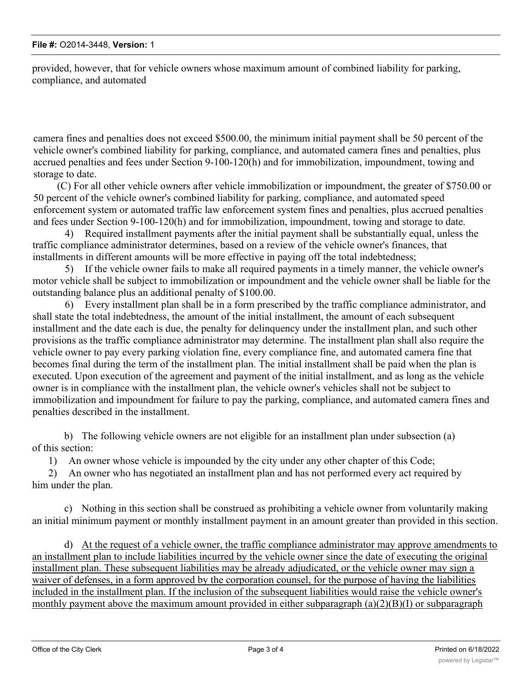provided, however, that for vehicle owners whose maximum amount of combined liability for parking, compliance, and automated

camera fines and penalties does not exceed \$500.00, the minimum initial payment shall be 50 percent of the vehicle owner's combined liability for parking, compliance, and automated camera fines and penalties, plus accrued penalties and fees under Section 9-100-120(h) and for immobilization, impoundment, towing and storage to date.

(C) For all other vehicle owners after vehicle immobilization or impoundment, the greater of \$750.00 or 50 percent of the vehicle owner's combined liability for parking, compliance, and automated speed enforcement system or automated traffic law enforcement system fines and penalties, plus accrued penalties and fees under Section 9-100-120(h) and for immobilization, impoundment, towing and storage to date.

4) Required installment payments after the initial payment shall be substantially equal, unless the traffic compliance administrator determines, based on a review of the vehicle owner's finances, that installments in different amounts will be more effective in paying off the total indebtedness;

5) If the vehicle owner fails to make all required payments in a timely manner, the vehicle owner's motor vehicle shall be subject to immobilization or impoundment and the vehicle owner shall be liable for the outstanding balance plus an additional penalty of \$100.00.

6) Every installment plan shall be in a form prescribed by the traffic compliance administrator, and shall state the total indebtedness, the amount of the initial installment, the amount of each subsequent installment and the date each is due, the penalty for delinquency under the installment plan, and such other provisions as the traffic compliance administrator may determine. The installment plan shall also require the vehicle owner to pay every parking violation fine, every compliance fine, and automated camera fine that becomes final during the term of the installment plan. The initial installment shall be paid when the plan is executed. Upon execution of the agreement and payment of the initial installment, and as long as the vehicle owner is in compliance with the installment plan, the vehicle owner's vehicles shall not be subject to immobilization and impoundment for failure to pay the parking, compliance, and automated camera fines and penalties described in the installment.

b) The following vehicle owners are not eligible for an installment plan under subsection (a) of this section:

1) An owner whose vehicle is impounded by the city under any other chapter of this Code;

2) An owner who has negotiated an installment plan and has not performed every act required by him under the plan.

c) Nothing in this section shall be construed as prohibiting a vehicle owner from voluntarily making an initial minimum payment or monthly installment payment in an amount greater than provided in this section.

d) At the request of a vehicle owner, the traffic compliance administrator may approve amendments to an installment plan to include liabilities incurred by the vehicle owner since the date of executing the original installment plan. These subsequent liabilities may be already adjudicated, or the vehicle owner may sign a waiver of defenses, in a form approved by the corporation counsel, for the purpose of having the liabilities included in the installment plan. If the inclusion of the subsequent liabilities would raise the vehicle owner's monthly payment above the maximum amount provided in either subparagraph (a)(2)(B)(I) or subparagraph